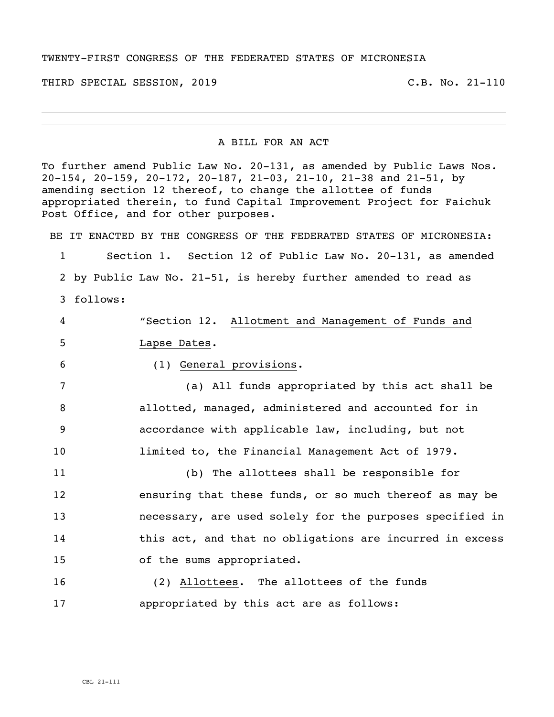## TWENTY-FIRST CONGRESS OF THE FEDERATED STATES OF MICRONESIA

THIRD SPECIAL SESSION, 2019 C.B. No. 21-110

## A BILL FOR AN ACT

To further amend Public Law No. 20-131, as amended by Public Laws Nos. 20-154, 20-159, 20-172, 20-187, 21-03, 21-10, 21-38 and 21-51, by amending section 12 thereof, to change the allottee of funds appropriated therein, to fund Capital Improvement Project for Faichuk Post Office, and for other purposes.

BE IT ENACTED BY THE CONGRESS OF THE FEDERATED STATES OF MICRONESIA:

 Section 1. Section 12 of Public Law No. 20-131, as amended by Public Law No. 21-51, is hereby further amended to read as follows:

 "Section 12. Allotment and Management of Funds and Lapse Dates. (1) General provisions. (a) All funds appropriated by this act shall be allotted, managed, administered and accounted for in accordance with applicable law, including, but not limited to, the Financial Management Act of 1979. (b) The allottees shall be responsible for ensuring that these funds, or so much thereof as may be necessary, are used solely for the purposes specified in this act, and that no obligations are incurred in excess of the sums appropriated.

 (2) Allottees. The allottees of the funds appropriated by this act are as follows: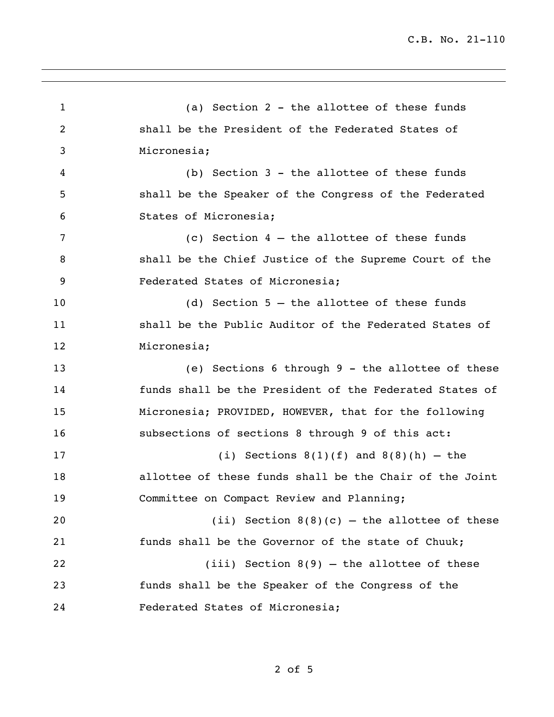(a) Section 2 - the allottee of these funds shall be the President of the Federated States of Micronesia; (b) Section 3 - the allottee of these funds shall be the Speaker of the Congress of the Federated States of Micronesia; (c) Section 4 – the allottee of these funds shall be the Chief Justice of the Supreme Court of the Federated States of Micronesia; (d) Section 5 – the allottee of these funds shall be the Public Auditor of the Federated States of Micronesia; (e) Sections 6 through 9 - the allottee of these funds shall be the President of the Federated States of Micronesia; PROVIDED, HOWEVER, that for the following subsections of sections 8 through 9 of this act: 17 (i) Sections  $8(1)(f)$  and  $8(8)(h)$  – the allottee of these funds shall be the Chair of the Joint Committee on Compact Review and Planning; 20 (ii) Section  $8(8)(c)$  – the allottee of these funds shall be the Governor of the state of Chuuk; (iii) Section 8(9) – the allottee of these funds shall be the Speaker of the Congress of the Federated States of Micronesia;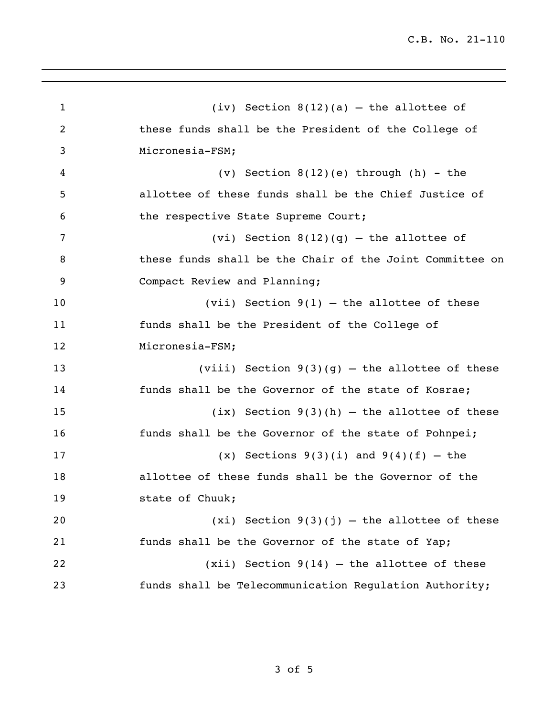(iv) Section 8(12)(a) – the allottee of these funds shall be the President of the College of Micronesia-FSM; (v) Section 8(12)(e) through (h) - the allottee of these funds shall be the Chief Justice of the respective State Supreme Court; 7 (vi) Section  $8(12)(q)$  – the allottee of these funds shall be the Chair of the Joint Committee on Compact Review and Planning; (vii) Section 9(1) – the allottee of these funds shall be the President of the College of Micronesia-FSM; (viii) Section 9(3)(g) – the allottee of these funds shall be the Governor of the state of Kosrae; (ix) Section 9(3)(h) – the allottee of these funds shall be the Governor of the state of Pohnpei; 17 (x) Sections  $9(3)(i)$  and  $9(4)(f)$  – the allottee of these funds shall be the Governor of the state of Chuuk;  $(xi)$  Section  $9(3)(j)$  – the allottee of these funds shall be the Governor of the state of Yap; (xii) Section 9(14) – the allottee of these funds shall be Telecommunication Regulation Authority;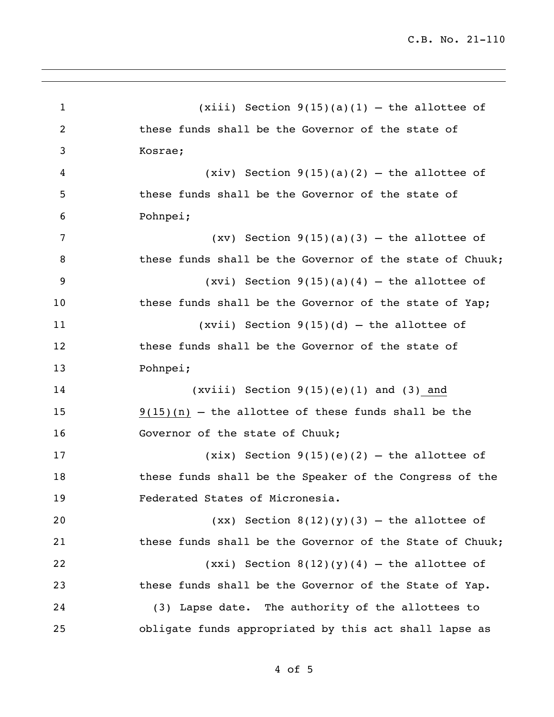(xiii) Section 9(15)(a)(1) – the allottee of these funds shall be the Governor of the state of Kosrae; 4 (xiv) Section  $9(15)(a)(2)$  – the allottee of these funds shall be the Governor of the state of Pohnpei; 7 (xv) Section  $9(15)(a)(3)$  – the allottee of 8 these funds shall be the Governor of the state of Chuuk;  $(xvi)$  Section  $9(15)(a)(4)$  – the allottee of 10 these funds shall be the Governor of the state of Yap; (xvii) Section 9(15)(d) – the allottee of these funds shall be the Governor of the state of Pohnpei; (xviii) Section 9(15)(e)(1) and (3) and 9(15)(n) – the allottee of these funds shall be the 16 Governor of the state of Chuuk; (xix) Section 9(15)(e)(2) – the allottee of these funds shall be the Speaker of the Congress of the Federated States of Micronesia.  $(xx)$  Section  $8(12)(y)(3)$  – the allottee of these funds shall be the Governor of the State of Chuuk;  $(xxi)$  Section  $8(12)(y)(4)$  – the allottee of these funds shall be the Governor of the State of Yap. (3) Lapse date. The authority of the allottees to obligate funds appropriated by this act shall lapse as